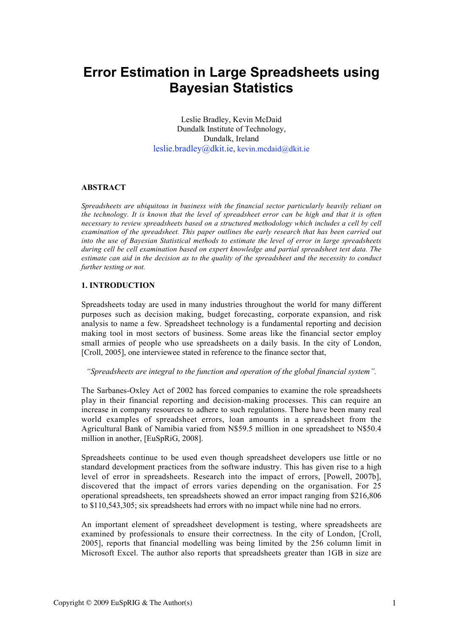# **Error Estimation in Large Spreadsheets using Bayesian Statistics**

Leslie Bradley, Kevin McDaid Dundalk Institute of Technology, Dundalk, Ireland leslie.bradley@dkit.ie, kevin.mcdaid@dkit.ie

## ABSTRACT

*Spreadsheets are ubiquitous in business with the financial sector particularly heavily reliant on* the technology. It is known that the level of spreadsheet error can be high and that it is often *necessary to review spreadsheets based on a structured methodology which includes a cell by cell examination of the spreadsheet. This paper outlines the early research that has been carried out into the use of Bayesian Statistical methods to estimate the level of error in large spreadsheets during cell be cell examination based on expert knowledge and partial spreadsheet test data. The estimate can aid in the decision as to the quality of the spreadsheet and the necessity to conduct further testing or not.*

## 1. INTRODUCTION

Spreadsheets today are used in many industries throughout the world for many different purposes such as decision making, budget forecasting, corporate expansion, and risk analysis to name a few. Spreadsheet technology is a fundamental reporting and decision making tool in most sectors of business. Some areas like the financial sector employ small armies of people who use spreadsheets on a daily basis. In the city of London, [Croll, 2005], one interviewee stated in reference to the finance sector that,

#### "Spreadsheets are integral to the function and operation of the global financial system".

The Sarbanes-Oxley Act of 2002 has forced companies to examine the role spreadsheets play in their financial reporting and decision-making processes. This can require an increase in company resources to adhere to such regulations. There have been many real world examples of spreadsheet errors, loan amounts in a spreadsheet from the Agricultural Bank of Namibia varied from N\$59.5 million in one spreadsheet to N\$50.4 million in another, [EuSpRiG, 2008].

Spreadsheets continue to be used even though spreadsheet developers use little or no standard development practices from the software industry. This has given rise to a high level of error in spreadsheets. Research into the impact of errors, [Powell, 2007b], discovered that the impact of errors varies depending on the organisation. For 25 operational spreadsheets, ten spreadsheets showed an error impact ranging from \$216,806 to \$110,543,305; six spreadsheets had errors with no impact while nine had no errors.

An important element of spreadsheet development is testing, where spreadsheets are examined by professionals to ensure their correctness. In the city of London, [Croll, 2005], reports that financial modelling was being limited by the 256 column limit in Microsoft Excel. The author also reports that spreadsheets greater than 1GB in size are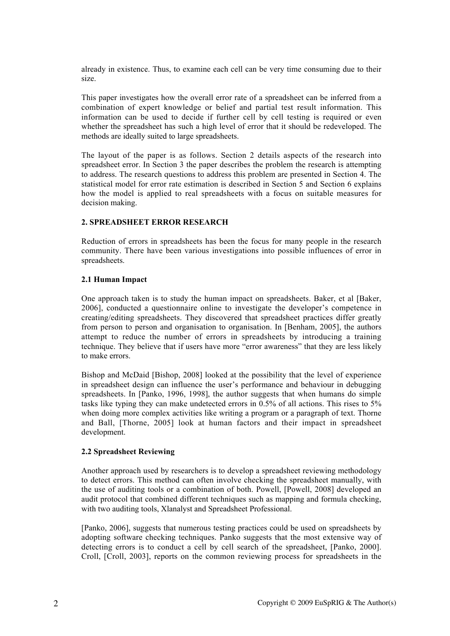already in existence. Thus, to examine each cell can be very time consuming due to their size.

This paper investigates how the overall error rate of a spreadsheet can be inferred from a combination of expert knowledge or belief and partial test result information. This information can be used to decide if further cell by cell testing is required or even whether the spreadsheet has such a high level of error that it should be redeveloped. The methods are ideally suited to large spreadsheets.

The layout of the paper is as follows. Section 2 details aspects of the research into spreadsheet error. In Section 3 the paper describes the problem the research is attempting to address. The research questions to address this problem are presented in Section 4. The statistical model for error rate estimation is described in Section 5 and Section 6 explains how the model is applied to real spreadsheets with a focus on suitable measures for decision making.

## 2. SPREADSHEET ERROR RESEARCH

Reduction of errors in spreadsheets has been the focus for many people in the research community. There have been various investigations into possible influences of error in spreadsheets.

## 2.1 Human Impact

One approach taken is to study the human impact on spreadsheets. Baker, et al [Baker, 2006], conducted a questionnaire online to investigate the developer's competence in creating/editing spreadsheets. They discovered that spreadsheet practices differ greatly from person to person and organisation to organisation. In [Benham, 2005], the authors attempt to reduce the number of errors in spreadsheets by introducing a training technique. They believe that if users have more "error awareness" that they are less likely to make errors.

Bishop and McDaid [Bishop, 2008] looked at the possibility that the level of experience in spreadsheet design can influence the user's performance and behaviour in debugging spreadsheets. In [Panko, 1996, 1998], the author suggests that when humans do simple tasks like typing they can make undetected errors in 0.5% of all actions. This rises to 5% when doing more complex activities like writing a program or a paragraph of text. Thorne and Ball, [Thorne, 2005] look at human factors and their impact in spreadsheet development.

## 2.2 Spreadsheet Reviewing

Another approach used by researchers is to develop a spreadsheet reviewing methodology to detect errors. This method can often involve checking the spreadsheet manually, with the use of auditing tools or a combination of both. Powell, [Powell, 2008] developed an audit protocol that combined different techniques such as mapping and formula checking, with two auditing tools, Xlanalyst and Spreadsheet Professional.

[Panko, 2006], suggests that numerous testing practices could be used on spreadsheets by adopting software checking techniques. Panko suggests that the most extensive way of detecting errors is to conduct a cell by cell search of the spreadsheet, [Panko, 2000]. Croll, [Croll, 2003], reports on the common reviewing process for spreadsheets in the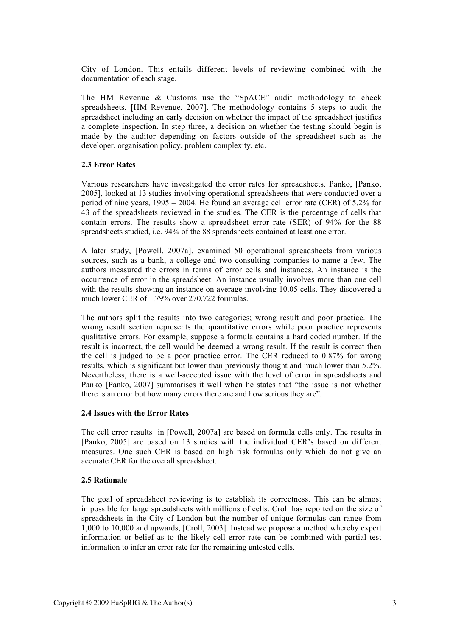City of London. This entails different levels of reviewing combined with the documentation of each stage.

The HM Revenue & Customs use the "SpACE" audit methodology to check spreadsheets, [HM Revenue, 2007]. The methodology contains 5 steps to audit the spreadsheet including an early decision on whether the impact of the spreadsheet justifies a complete inspection. In step three, a decision on whether the testing should begin is made by the auditor depending on factors outside of the spreadsheet such as the developer, organisation policy, problem complexity, etc.

## 2.3 Error Rates

Various researchers have investigated the error rates for spreadsheets. Panko, [Panko, 2005], looked at 13 studies involving operational spreadsheets that were conducted over a period of nine years, 1995 – 2004. He found an average cell error rate (CER) of 5.2% for 43 of the spreadsheets reviewed in the studies. The CER is the percentage of cells that contain errors. The results show a spreadsheet error rate (SER) of 94% for the 88 spreadsheets studied, i.e. 94% of the 88 spreadsheets contained at least one error.

A later study, [Powell, 2007a], examined 50 operational spreadsheets from various sources, such as a bank, a college and two consulting companies to name a few. The authors measured the errors in terms of error cells and instances. An instance is the occurrence of error in the spreadsheet. An instance usually involves more than one cell with the results showing an instance on average involving 10.05 cells. They discovered a much lower CER of 1.79% over 270,722 formulas.

The authors split the results into two categories; wrong result and poor practice. The wrong result section represents the quantitative errors while poor practice represents qualitative errors. For example, suppose a formula contains a hard coded number. If the result is incorrect, the cell would be deemed a wrong result. If the result is correct then the cell is judged to be a poor practice error. The CER reduced to 0.87% for wrong results, which is significant but lower than previously thought and much lower than 5.2%. Nevertheless, there is a well-accepted issue with the level of error in spreadsheets and Panko [Panko, 2007] summarises it well when he states that "the issue is not whether there is an error but how many errors there are and how serious they are".

## 2.4 Issues with the Error Rates

The cell error results in [Powell, 2007a] are based on formula cells only. The results in [Panko, 2005] are based on 13 studies with the individual CER's based on different measures. One such CER is based on high risk formulas only which do not give an accurate CER for the overall spreadsheet.

## 2.5 Rationale

The goal of spreadsheet reviewing is to establish its correctness. This can be almost impossible for large spreadsheets with millions of cells. Croll has reported on the size of spreadsheets in the City of London but the number of unique formulas can range from 1,000 to 10,000 and upwards, [Croll, 2003]. Instead we propose a method whereby expert information or belief as to the likely cell error rate can be combined with partial test information to infer an error rate for the remaining untested cells.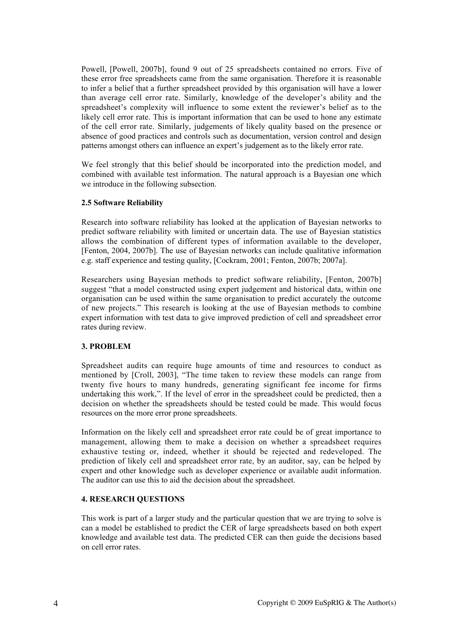Powell, [Powell, 2007b], found 9 out of 25 spreadsheets contained no errors. Five of these error free spreadsheets came from the same organisation. Therefore it is reasonable to infer a belief that a further spreadsheet provided by this organisation will have a lower than average cell error rate. Similarly, knowledge of the developer's ability and the spreadsheet's complexity will influence to some extent the reviewer's belief as to the likely cell error rate. This is important information that can be used to hone any estimate of the cell error rate. Similarly, judgements of likely quality based on the presence or absence of good practices and controls such as documentation, version control and design patterns amongst others can influence an expert's judgement as to the likely error rate.

We feel strongly that this belief should be incorporated into the prediction model, and combined with available test information. The natural approach is a Bayesian one which we introduce in the following subsection.

## 2.5 Software Reliability

Research into software reliability has looked at the application of Bayesian networks to predict software reliability with limited or uncertain data. The use of Bayesian statistics allows the combination of different types of information available to the developer, [Fenton, 2004, 2007b]. The use of Bayesian networks can include qualitative information e.g. staff experience and testing quality, [Cockram, 2001; Fenton, 2007b; 2007a].

Researchers using Bayesian methods to predict software reliability, [Fenton, 2007b] suggest "that a model constructed using expert judgement and historical data, within one organisation can be used within the same organisation to predict accurately the outcome of new projects." This research is looking at the use of Bayesian methods to combine expert information with test data to give improved prediction of cell and spreadsheet error rates during review.

## 3. PROBLEM

Spreadsheet audits can require huge amounts of time and resources to conduct as mentioned by [Croll, 2003], "The time taken to review these models can range from twenty five hours to many hundreds, generating significant fee income for firms undertaking this work,". If the level of error in the spreadsheet could be predicted, then a decision on whether the spreadsheets should be tested could be made. This would focus resources on the more error prone spreadsheets.

Information on the likely cell and spreadsheet error rate could be of great importance to management, allowing them to make a decision on whether a spreadsheet requires exhaustive testing or, indeed, whether it should be rejected and redeveloped. The prediction of likely cell and spreadsheet error rate, by an auditor, say, can be helped by expert and other knowledge such as developer experience or available audit information. The auditor can use this to aid the decision about the spreadsheet.

# 4. RESEARCH QUESTIONS

This work is part of a larger study and the particular question that we are trying to solve is can a model be established to predict the CER of large spreadsheets based on both expert knowledge and available test data. The predicted CER can then guide the decisions based on cell error rates.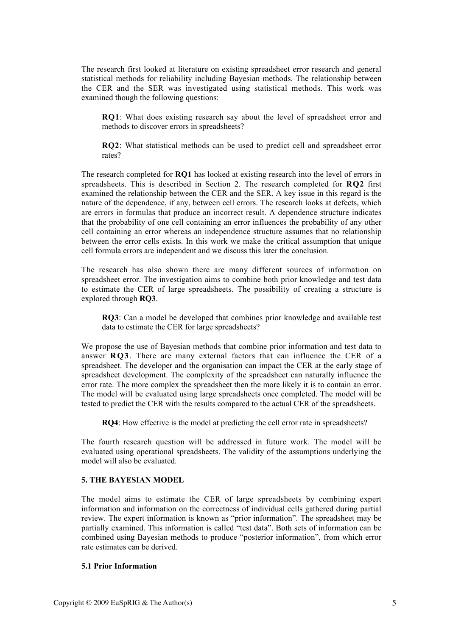The research first looked at literature on existing spreadsheet error research and general statistical methods for reliability including Bayesian methods. The relationship between the CER and the SER was investigated using statistical methods. This work was examined though the following questions:

RQ1: What does existing research say about the level of spreadsheet error and methods to discover errors in spreadsheets?

RQ2: What statistical methods can be used to predict cell and spreadsheet error rates?

The research completed for RQ1 has looked at existing research into the level of errors in spreadsheets. This is described in Section 2. The research completed for RQ2 first examined the relationship between the CER and the SER. A key issue in this regard is the nature of the dependence, if any, between cell errors. The research looks at defects, which are errors in formulas that produce an incorrect result. A dependence structure indicates that the probability of one cell containing an error influences the probability of any other cell containing an error whereas an independence structure assumes that no relationship between the error cells exists. In this work we make the critical assumption that unique cell formula errors are independent and we discuss this later the conclusion.

The research has also shown there are many different sources of information on spreadsheet error. The investigation aims to combine both prior knowledge and test data to estimate the CER of large spreadsheets. The possibility of creating a structure is explored through RQ3.

RQ3: Can a model be developed that combines prior knowledge and available test data to estimate the CER for large spreadsheets?

We propose the use of Bayesian methods that combine prior information and test data to answer RQ3. There are many external factors that can influence the CER of a spreadsheet. The developer and the organisation can impact the CER at the early stage of spreadsheet development. The complexity of the spreadsheet can naturally influence the error rate. The more complex the spreadsheet then the more likely it is to contain an error. The model will be evaluated using large spreadsheets once completed. The model will be tested to predict the CER with the results compared to the actual CER of the spreadsheets.

RQ4: How effective is the model at predicting the cell error rate in spreadsheets?

The fourth research question will be addressed in future work. The model will be evaluated using operational spreadsheets. The validity of the assumptions underlying the model will also be evaluated.

## 5. THE BAYESIAN MODEL

The model aims to estimate the CER of large spreadsheets by combining expert information and information on the correctness of individual cells gathered during partial review. The expert information is known as "prior information". The spreadsheet may be partially examined. This information is called "test data". Both sets of information can be combined using Bayesian methods to produce "posterior information", from which error rate estimates can be derived.

#### 5.1 Prior Information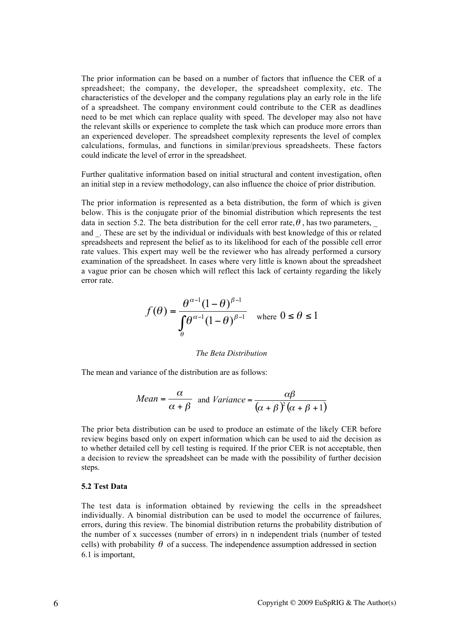The prior information can be based on a number of factors that influence the CER of a spreadsheet; the company, the developer, the spreadsheet complexity, etc. The characteristics of the developer and the company regulations play an early role in the life of a spreadsheet. The company environment could contribute to the CER as deadlines need to be met which can replace quality with speed. The developer may also not have the relevant skills or experience to complete the task which can produce more errors than an experienced developer. The spreadsheet complexity represents the level of complex calculations, formulas, and functions in similar/previous spreadsheets. These factors could indicate the level of error in the spreadsheet.

Further qualitative information based on initial structural and content investigation, often an initial step in a review methodology, can also influence the choice of prior distribution.

The prior information is represented as a beta distribution, the form of which is given below. This is the conjugate prior of the binomial distribution which represents the test data in section 5.2. The beta distribution for the cell error rate,  $\theta$ , has two parameters, and . These are set by the individual or individuals with best knowledge of this or related spreadsheets and represent the belief as to its likelihood for each of the possible cell error rate values. This expert may well be the reviewer who has already performed a cursory examination of the spreadsheet. In cases where very little is known about the spreadsheet a vague prior can be chosen which will reflect this lack of certainty regarding the likely error rate.

$$
f(\theta) = \frac{\theta^{\alpha-1} (1-\theta)^{\beta-1}}{\int_{\theta}^{\theta^{\alpha-1}} (1-\theta)^{\beta-1}} \quad \text{where } 0 \le \theta \le 1
$$

#### *The Beta Distribution*

The mean and variance of the distribution are as follows:

Mean = 
$$
\frac{\alpha}{\alpha + \beta}
$$
 and Variance =  $\frac{\alpha\beta}{(\alpha + \beta)^2(\alpha + \beta + 1)}$ 

The prior beta distribution can be used to produce an estimate of the likely CER before review begins based only on expert information which can be used to aid the decision as to whether detailed cell by cell testing is required. If the prior CER is not acceptable, then a decision to review the spreadsheet can be made with the possibility of further decision steps.

## 5.2 Test Data

The test data is information obtained by reviewing the cells in the spreadsheet individually. A binomial distribution can be used to model the occurrence of failures, errors, during this review. The binomial distribution returns the probability distribution of the number of x successes (number of errors) in n independent trials (number of tested cells) with probability  $\theta$  of a success. The independence assumption addressed in section 6.1 is important,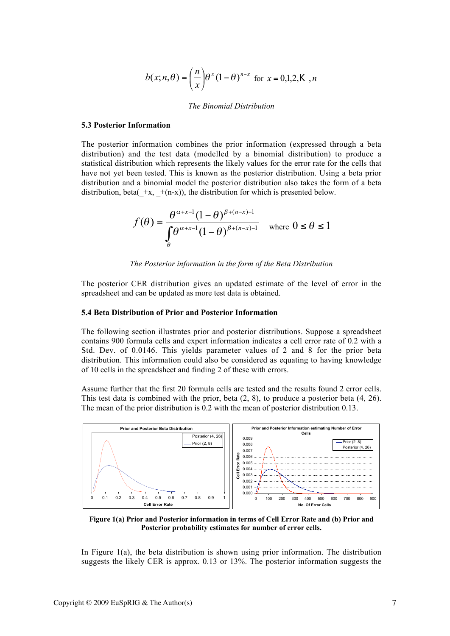$$
b(x; n, \theta) = \left(\frac{n}{x}\right) \theta^{x} (1-\theta)^{n-x} \text{ for } x = 0,1,2, \mathsf{K}, n
$$

#### *The Binomial Distribution*

#### 5.3 Posterior Information

The posterior information combines the prior information (expressed through a beta distribution) and the test data (modelled by a binomial distribution) to produce a statistical distribution which represents the likely values for the error rate for the cells that have not yet been tested. This is known as the posterior distribution. Using a beta prior distribution and a binomial model the posterior distribution also takes the form of a beta distribution, beta( $+x$ ,  $+(n-x)$ ), the distribution for which is presented below.

$$
f(\theta) = \frac{\theta^{\alpha + x - 1} (1 - \theta)^{\beta + (n - x) - 1}}{\int_{\theta}^{\theta^{\alpha + x - 1} (1 - \theta)^{\beta + (n - x) - 1}}} \quad \text{where } 0 \le \theta \le 1
$$

*The Posterior information in the form of the Beta Distribution*

The posterior CER distribution gives an updated estimate of the level of error in the spreadsheet and can be updated as more test data is obtained.

#### 5.4 Beta Distribution of Prior and Posterior Information

The following section illustrates prior and posterior distributions. Suppose a spreadsheet contains 900 formula cells and expert information indicates a cell error rate of 0.2 with a Std. Dev. of 0.0146. This yields parameter values of 2 and 8 for the prior beta distribution. This information could also be considered as equating to having knowledge of 10 cells in the spreadsheet and finding 2 of these with errors.

Assume further that the first 20 formula cells are tested and the results found 2 error cells. This test data is combined with the prior, beta (2, 8), to produce a posterior beta (4, 26). The mean of the prior distribution is 0.2 with the mean of posterior distribution 0.13.



Figure 1(a) Prior and Posterior information in terms of Cell Error Rate and (b) Prior and Posterior probability estimates for number of error cells.

In Figure  $1(a)$ , the beta distribution is shown using prior information. The distribution suggests the likely CER is approx. 0.13 or 13%. The posterior information suggests the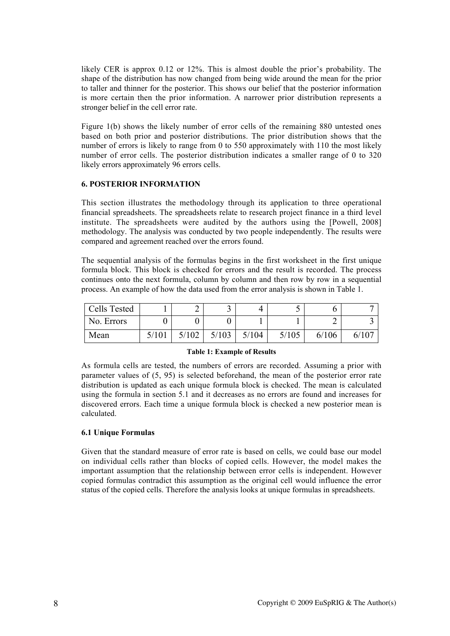likely CER is approx 0.12 or 12%. This is almost double the prior's probability. The shape of the distribution has now changed from being wide around the mean for the prior to taller and thinner for the posterior. This shows our belief that the posterior information is more certain then the prior information. A narrower prior distribution represents a stronger belief in the cell error rate.

Figure 1(b) shows the likely number of error cells of the remaining 880 untested ones based on both prior and posterior distributions. The prior distribution shows that the number of errors is likely to range from 0 to 550 approximately with 110 the most likely number of error cells. The posterior distribution indicates a smaller range of 0 to 320 likely errors approximately 96 errors cells.

## 6. POSTERIOR INFORMATION

This section illustrates the methodology through its application to three operational financial spreadsheets. The spreadsheets relate to research project finance in a third level institute. The spreadsheets were audited by the authors using the [Powell, 2008] methodology. The analysis was conducted by two people independently. The results were compared and agreement reached over the errors found.

The sequential analysis of the formulas begins in the first worksheet in the first unique formula block. This block is checked for errors and the result is recorded. The process continues onto the next formula, column by column and then row by row in a sequential process. An example of how the data used from the error analysis is shown in Table 1.

| Cells Tested |       |       |       |       | ັ     |       |  |
|--------------|-------|-------|-------|-------|-------|-------|--|
| No. Errors   |       |       |       |       |       |       |  |
| Mean         | 5/101 | 5/102 | 5/103 | 5/104 | 5/105 | 6/106 |  |

#### Table 1: Example of Results

As formula cells are tested, the numbers of errors are recorded. Assuming a prior with parameter values of (5, 95) is selected beforehand, the mean of the posterior error rate distribution is updated as each unique formula block is checked. The mean is calculated using the formula in section 5.1 and it decreases as no errors are found and increases for discovered errors. Each time a unique formula block is checked a new posterior mean is calculated.

# 6.1 Unique Formulas

Given that the standard measure of error rate is based on cells, we could base our model on individual cells rather than blocks of copied cells. However, the model makes the important assumption that the relationship between error cells is independent. However copied formulas contradict this assumption as the original cell would influence the error status of the copied cells. Therefore the analysis looks at unique formulas in spreadsheets.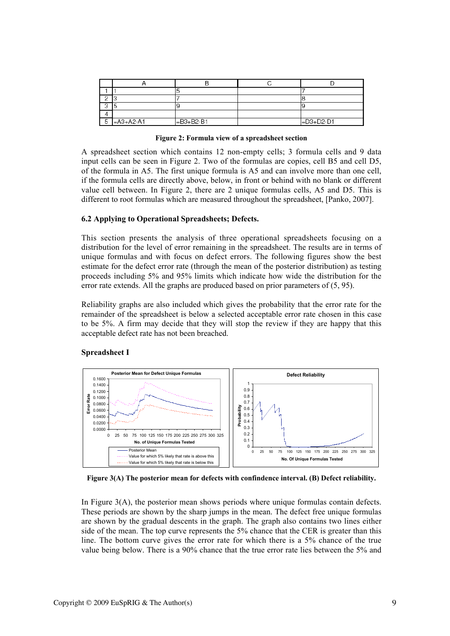|   | a           |                   |                    |
|---|-------------|-------------------|--------------------|
|   |             |                   |                    |
| 5 | $=A3+A2-A1$ | $\equiv$ B3+B2-B1 | $\left $ =D3+D2-D1 |

Figure 2: Formula view of a spreadsheet section

A spreadsheet section which contains 12 non-empty cells; 3 formula cells and 9 data input cells can be seen in Figure 2. Two of the formulas are copies, cell B5 and cell D5, of the formula in A5. The first unique formula is A5 and can involve more than one cell, if the formula cells are directly above, below, in front or behind with no blank or different value cell between. In Figure 2, there are 2 unique formulas cells, A5 and D5. This is different to root formulas which are measured throughout the spreadsheet, [Panko, 2007].

#### 6.2 Applying to Operational Spreadsheets; Defects.

This section presents the analysis of three operational spreadsheets focusing on a distribution for the level of error remaining in the spreadsheet. The results are in terms of unique formulas and with focus on defect errors. The following figures show the best estimate for the defect error rate (through the mean of the posterior distribution) as testing proceeds including 5% and 95% limits which indicate how wide the distribution for the error rate extends. All the graphs are produced based on prior parameters of (5, 95).

Reliability graphs are also included which gives the probability that the error rate for the remainder of the spreadsheet is below a selected acceptable error rate chosen in this case to be 5%. A firm may decide that they will stop the review if they are happy that this acceptable defect rate has not been breached.

#### Spreadsheet I



Figure 3(A) The posterior mean for defects with confindence interval. (B) Defect reliability.

In Figure 3(A), the posterior mean shows periods where unique formulas contain defects. These periods are shown by the sharp jumps in the mean. The defect free unique formulas are shown by the gradual descents in the graph. The graph also contains two lines either side of the mean. The top curve represents the 5% chance that the CER is greater than this line. The bottom curve gives the error rate for which there is a 5% chance of the true value being below. There is a 90% chance that the true error rate lies between the 5% and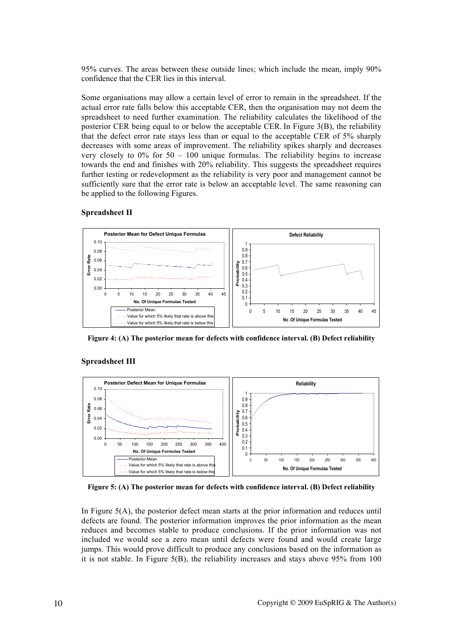95% curves. The areas between these outside lines; which include the mean, imply 90% confidence that the CER lies in this interval.

Some organisations may allow a certain level of error to remain in the spreadsheet. If the actual error rate falls below this acceptable CER, then the organisation may not deem the spreadsheet to need further examination. The reliability calculates the likelihood of the posterior CER being equal to or below the acceptable CER. In Figure 3(B), the reliability that the defect error rate stays less than or equal to the acceptable CER of 5% sharply decreases with some areas of improvement. The reliability spikes sharply and decreases very closely to  $0\%$  for  $50 - 100$  unique formulas. The reliability begins to increase towards the end and finishes with 20% reliability. This suggests the spreadsheet requires further testing or redevelopment as the reliability is very poor and management cannot be sufficiently sure that the error rate is below an acceptable level. The same reasoning can be applied to the following Figures.

#### Spreadsheet II



Figure 4: (A) The posterior mean for defects with confidence interval. (B) Defect reliability

## Spreadsheet III



Figure 5: (A) The posterior mean for defects with confidence interval. (B) Defect reliability

In Figure 5(A), the posterior defect mean starts at the prior information and reduces until defects are found. The posterior information improves the prior information as the mean reduces and becomes stable to produce conclusions. If the prior information was not included we would see a zero mean until defects were found and would create large jumps. This would prove difficult to produce any conclusions based on the information as it is not stable. In Figure  $5(B)$ , the reliability increases and stays above 95% from 100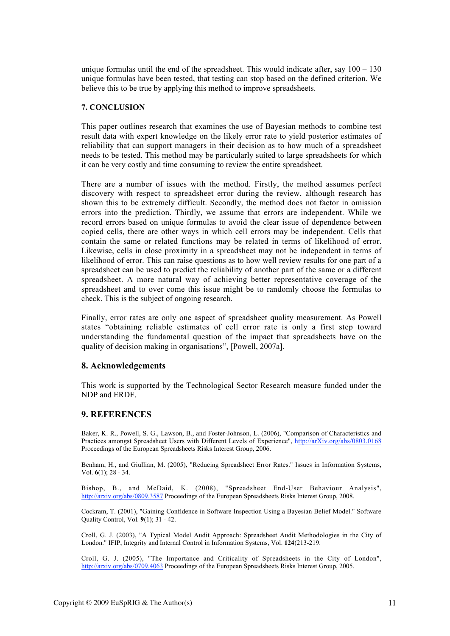unique formulas until the end of the spreadsheet. This would indicate after, say  $100 - 130$ unique formulas have been tested, that testing can stop based on the defined criterion. We believe this to be true by applying this method to improve spreadsheets.

## 7. CONCLUSION

This paper outlines research that examines the use of Bayesian methods to combine test result data with expert knowledge on the likely error rate to yield posterior estimates of reliability that can support managers in their decision as to how much of a spreadsheet needs to be tested. This method may be particularly suited to large spreadsheets for which it can be very costly and time consuming to review the entire spreadsheet.

There are a number of issues with the method. Firstly, the method assumes perfect discovery with respect to spreadsheet error during the review, although research has shown this to be extremely difficult. Secondly, the method does not factor in omission errors into the prediction. Thirdly, we assume that errors are independent. While we record errors based on unique formulas to avoid the clear issue of dependence between copied cells, there are other ways in which cell errors may be independent. Cells that contain the same or related functions may be related in terms of likelihood of error. Likewise, cells in close proximity in a spreadsheet may not be independent in terms of likelihood of error. This can raise questions as to how well review results for one part of a spreadsheet can be used to predict the reliability of another part of the same or a different spreadsheet. A more natural way of achieving better representative coverage of the spreadsheet and to over come this issue might be to randomly choose the formulas to check. This is the subject of ongoing research.

Finally, error rates are only one aspect of spreadsheet quality measurement. As Powell states "obtaining reliable estimates of cell error rate is only a first step toward understanding the fundamental question of the impact that spreadsheets have on the quality of decision making in organisations", [Powell, 2007a].

## 8. Acknowledgements

This work is supported by the Technological Sector Research measure funded under the NDP and ERDF.

## 9. REFERENCES

Baker, K. R., Powell, S. G., Lawson, B., and Foster-Johnson, L. (2006), "Comparison of Characteristics and Practices amongst Spreadsheet Users with Different Levels of Experience", http://arXiv.org/abs/0803.0168 Proceedings of the European Spreadsheets Risks Interest Group, 2006.

Benham, H., and Giullian, M. (2005), "Reducing Spreadsheet Error Rates." Issues in Information Systems, Vol. 6(1); 28 - 34.

Bishop, B., and McDaid, K. (2008), "Spreadsheet End-User Behaviour Analysis", http://arxiv.org/abs/0809.3587 Proceedings of the European Spreadsheets Risks Interest Group, 2008.

Cockram, T. (2001), "Gaining Confidence in Software Inspection Using a Bayesian Belief Model." Software Quality Control, Vol. 9(1); 31 - 42.

Croll, G. J. (2003), "A Typical Model Audit Approach: Spreadsheet Audit Methodologies in the City of London." IFIP, Integrity and Internal Control in Information Systems, Vol. 124(213-219.

Croll, G. J. (2005), "The Importance and Criticality of Spreadsheets in the City of London", http://arxiv.org/abs/0709.4063 Proceedings of the European Spreadsheets Risks Interest Group, 2005.